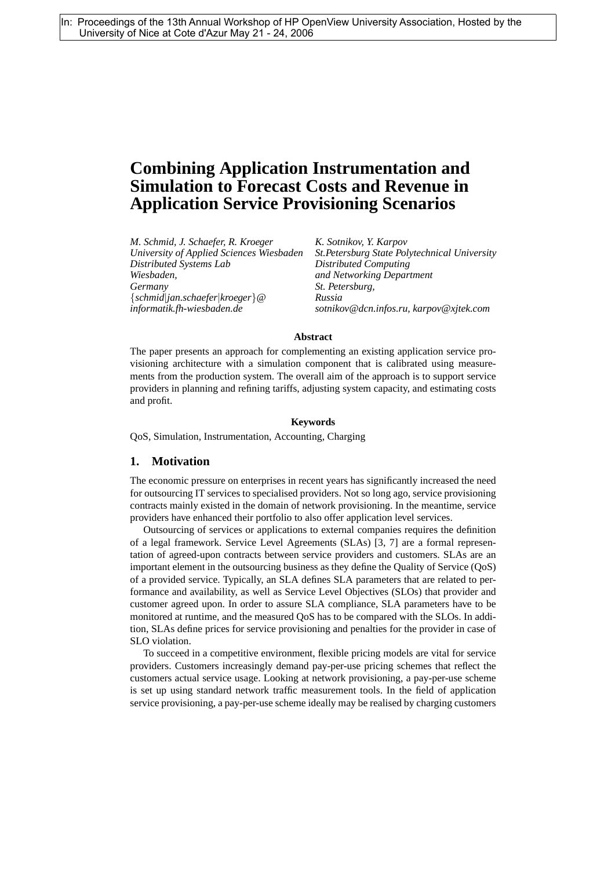# **Combining Application Instrumentation and Simulation to Forecast Costs and Revenue in Application Service Provisioning Scenarios**

*M. Schmid, J. Schaefer, R. Kroeger University of Applied Sciences Wiesbaden Distributed Systems Lab Wiesbaden, Germany* {*schmid*|*jan.schaefer*|*kroeger*}*@ informatik.fh-wiesbaden.de*

*K. Sotnikov, Y. Karpov St.Petersburg State Polytechnical University Distributed Computing and Networking Department St. Petersburg, Russia sotnikov@dcn.infos.ru, karpov@xjtek.com*

### **Abstract**

The paper presents an approach for complementing an existing application service provisioning architecture with a simulation component that is calibrated using measurements from the production system. The overall aim of the approach is to support service providers in planning and refining tariffs, adjusting system capacity, and estimating costs and profit.

#### **Keywords**

QoS, Simulation, Instrumentation, Accounting, Charging

## **1. Motivation**

The economic pressure on enterprises in recent years has significantly increased the need for outsourcing IT services to specialised providers. Not so long ago, service provisioning contracts mainly existed in the domain of network provisioning. In the meantime, service providers have enhanced their portfolio to also offer application level services.

Outsourcing of services or applications to external companies requires the definition of a legal framework. Service Level Agreements (SLAs) [3, 7] are a formal representation of agreed-upon contracts between service providers and customers. SLAs are an important element in the outsourcing business as they define the Quality of Service (QoS) of a provided service. Typically, an SLA defines SLA parameters that are related to performance and availability, as well as Service Level Objectives (SLOs) that provider and customer agreed upon. In order to assure SLA compliance, SLA parameters have to be monitored at runtime, and the measured QoS has to be compared with the SLOs. In addition, SLAs define prices for service provisioning and penalties for the provider in case of SLO violation.

To succeed in a competitive environment, flexible pricing models are vital for service providers. Customers increasingly demand pay-per-use pricing schemes that reflect the customers actual service usage. Looking at network provisioning, a pay-per-use scheme is set up using standard network traffic measurement tools. In the field of application service provisioning, a pay-per-use scheme ideally may be realised by charging customers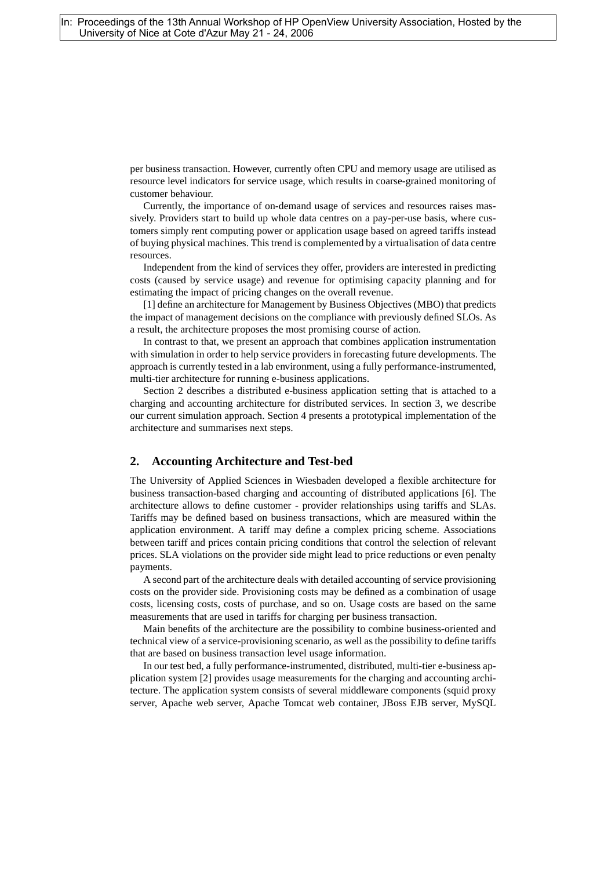per business transaction. However, currently often CPU and memory usage are utilised as resource level indicators for service usage, which results in coarse-grained monitoring of customer behaviour.

Currently, the importance of on-demand usage of services and resources raises massively. Providers start to build up whole data centres on a pay-per-use basis, where customers simply rent computing power or application usage based on agreed tariffs instead of buying physical machines. This trend is complemented by a virtualisation of data centre resources.

Independent from the kind of services they offer, providers are interested in predicting costs (caused by service usage) and revenue for optimising capacity planning and for estimating the impact of pricing changes on the overall revenue.

[1] define an architecture for Management by Business Objectives (MBO) that predicts the impact of management decisions on the compliance with previously defined SLOs. As a result, the architecture proposes the most promising course of action.

In contrast to that, we present an approach that combines application instrumentation with simulation in order to help service providers in forecasting future developments. The approach is currently tested in a lab environment, using a fully performance-instrumented, multi-tier architecture for running e-business applications.

Section 2 describes a distributed e-business application setting that is attached to a charging and accounting architecture for distributed services. In section 3, we describe our current simulation approach. Section 4 presents a prototypical implementation of the architecture and summarises next steps.

# **2. Accounting Architecture and Test-bed**

The University of Applied Sciences in Wiesbaden developed a flexible architecture for business transaction-based charging and accounting of distributed applications [6]. The architecture allows to define customer - provider relationships using tariffs and SLAs. Tariffs may be defined based on business transactions, which are measured within the application environment. A tariff may define a complex pricing scheme. Associations between tariff and prices contain pricing conditions that control the selection of relevant prices. SLA violations on the provider side might lead to price reductions or even penalty payments.

A second part of the architecture deals with detailed accounting of service provisioning costs on the provider side. Provisioning costs may be defined as a combination of usage costs, licensing costs, costs of purchase, and so on. Usage costs are based on the same measurements that are used in tariffs for charging per business transaction.

Main benefits of the architecture are the possibility to combine business-oriented and technical view of a service-provisioning scenario, as well as the possibility to define tariffs that are based on business transaction level usage information.

In our test bed, a fully performance-instrumented, distributed, multi-tier e-business application system [2] provides usage measurements for the charging and accounting architecture. The application system consists of several middleware components (squid proxy server, Apache web server, Apache Tomcat web container, JBoss EJB server, MySQL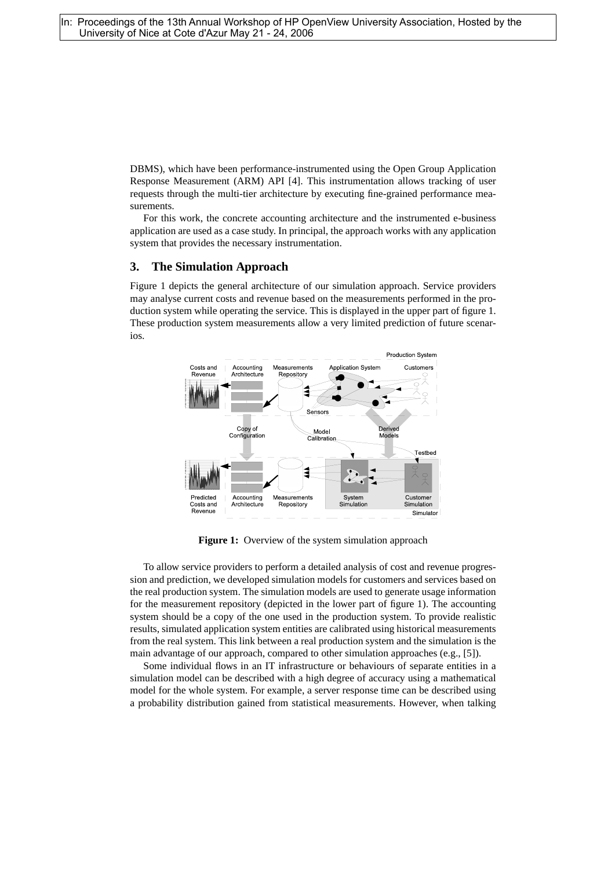DBMS), which have been performance-instrumented using the Open Group Application Response Measurement (ARM) API [4]. This instrumentation allows tracking of user requests through the multi-tier architecture by executing fine-grained performance measurements.

For this work, the concrete accounting architecture and the instrumented e-business application are used as a case study. In principal, the approach works with any application system that provides the necessary instrumentation.

## **3. The Simulation Approach**

Figure 1 depicts the general architecture of our simulation approach. Service providers may analyse current costs and revenue based on the measurements performed in the production system while operating the service. This is displayed in the upper part of figure 1. These production system measurements allow a very limited prediction of future scenarios.



**Figure 1:** Overview of the system simulation approach

To allow service providers to perform a detailed analysis of cost and revenue progression and prediction, we developed simulation models for customers and services based on the real production system. The simulation models are used to generate usage information for the measurement repository (depicted in the lower part of figure 1). The accounting system should be a copy of the one used in the production system. To provide realistic results, simulated application system entities are calibrated using historical measurements from the real system. This link between a real production system and the simulation is the main advantage of our approach, compared to other simulation approaches (e.g., [5]).

Some individual flows in an IT infrastructure or behaviours of separate entities in a simulation model can be described with a high degree of accuracy using a mathematical model for the whole system. For example, a server response time can be described using a probability distribution gained from statistical measurements. However, when talking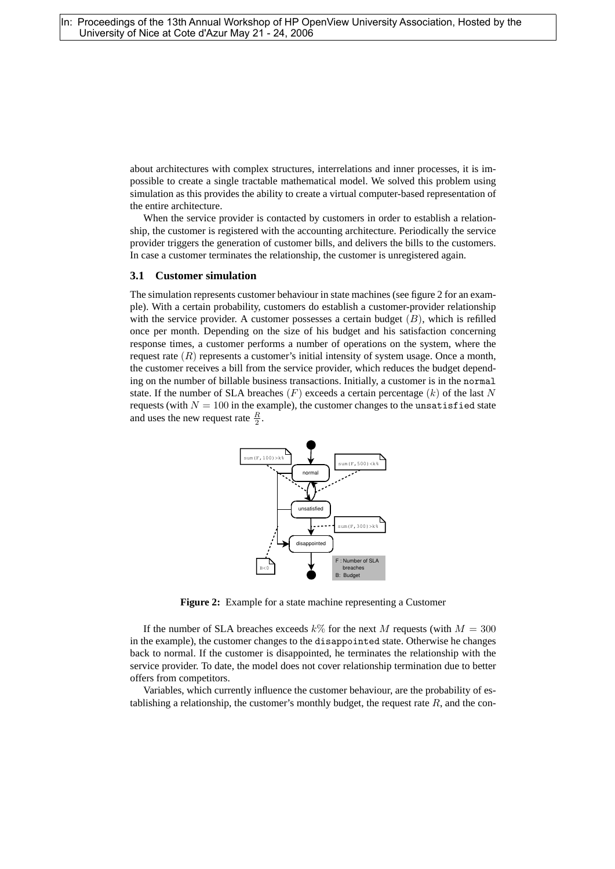about architectures with complex structures, interrelations and inner processes, it is impossible to create a single tractable mathematical model. We solved this problem using simulation as this provides the ability to create a virtual computer-based representation of the entire architecture.

When the service provider is contacted by customers in order to establish a relationship, the customer is registered with the accounting architecture. Periodically the service provider triggers the generation of customer bills, and delivers the bills to the customers. In case a customer terminates the relationship, the customer is unregistered again.

#### **3.1 Customer simulation**

The simulation represents customer behaviour in state machines (see figure 2 for an example). With a certain probability, customers do establish a customer-provider relationship with the service provider. A customer possesses a certain budget  $(B)$ , which is refilled once per month. Depending on the size of his budget and his satisfaction concerning response times, a customer performs a number of operations on the system, where the request rate  $(R)$  represents a customer's initial intensity of system usage. Once a month, the customer receives a bill from the service provider, which reduces the budget depending on the number of billable business transactions. Initially, a customer is in the normal state. If the number of SLA breaches  $(F)$  exceeds a certain percentage  $(k)$  of the last N requests (with  $N = 100$  in the example), the customer changes to the unsatisfied state and uses the new request rate  $\frac{R}{2}$ .



**Figure 2:** Example for a state machine representing a Customer

If the number of SLA breaches exceeds  $k\%$  for the next M requests (with  $M = 300$ in the example), the customer changes to the disappointed state. Otherwise he changes back to normal. If the customer is disappointed, he terminates the relationship with the service provider. To date, the model does not cover relationship termination due to better offers from competitors.

Variables, which currently influence the customer behaviour, are the probability of establishing a relationship, the customer's monthly budget, the request rate  $R$ , and the con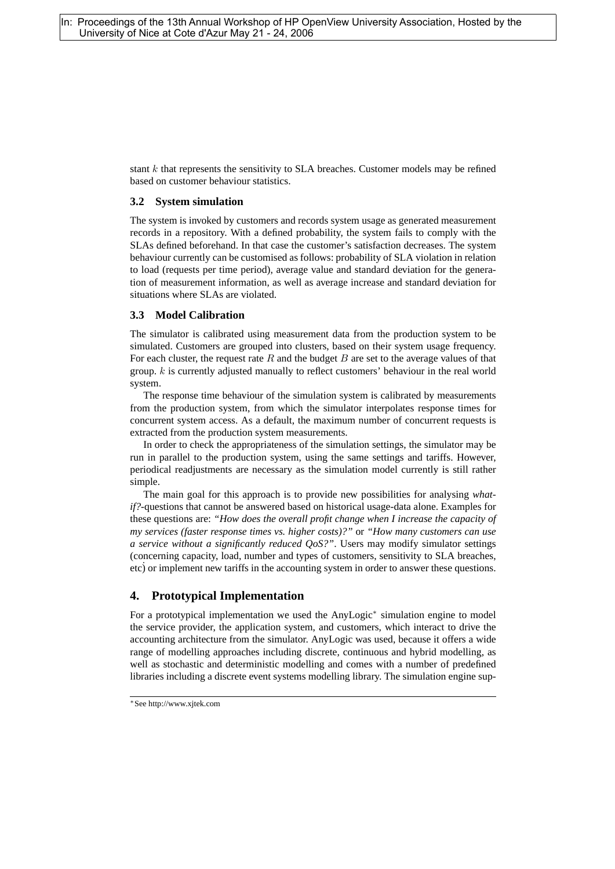stant  $k$  that represents the sensitivity to SLA breaches. Customer models may be refined based on customer behaviour statistics.

## **3.2 System simulation**

The system is invoked by customers and records system usage as generated measurement records in a repository. With a defined probability, the system fails to comply with the SLAs defined beforehand. In that case the customer's satisfaction decreases. The system behaviour currently can be customised as follows: probability of SLA violation in relation to load (requests per time period), average value and standard deviation for the generation of measurement information, as well as average increase and standard deviation for situations where SLAs are violated.

## **3.3 Model Calibration**

The simulator is calibrated using measurement data from the production system to be simulated. Customers are grouped into clusters, based on their system usage frequency. For each cluster, the request rate R and the budget B are set to the average values of that group. k is currently adjusted manually to reflect customers' behaviour in the real world system.

The response time behaviour of the simulation system is calibrated by measurements from the production system, from which the simulator interpolates response times for concurrent system access. As a default, the maximum number of concurrent requests is extracted from the production system measurements.

In order to check the appropriateness of the simulation settings, the simulator may be run in parallel to the production system, using the same settings and tariffs. However, periodical readjustments are necessary as the simulation model currently is still rather simple.

The main goal for this approach is to provide new possibilities for analysing *whatif?*-questions that cannot be answered based on historical usage-data alone. Examples for these questions are: *"How does the overall profit change when I increase the capacity of my services (faster response times vs. higher costs)?"* or *"How many customers can use a service without a significantly reduced QoS?"*. Users may modify simulator settings (concerning capacity, load, number and types of customers, sensitivity to SLA breaches, etc) or implement new tariffs in the accounting system in order to answer these questions.

# **4. Prototypical Implementation**

For a prototypical implementation we used the AnyLogic<sup>∗</sup> simulation engine to model the service provider, the application system, and customers, which interact to drive the accounting architecture from the simulator. AnyLogic was used, because it offers a wide range of modelling approaches including discrete, continuous and hybrid modelling, as well as stochastic and deterministic modelling and comes with a number of predefined libraries including a discrete event systems modelling library. The simulation engine sup-

<sup>∗</sup>See http://www.xjtek.com